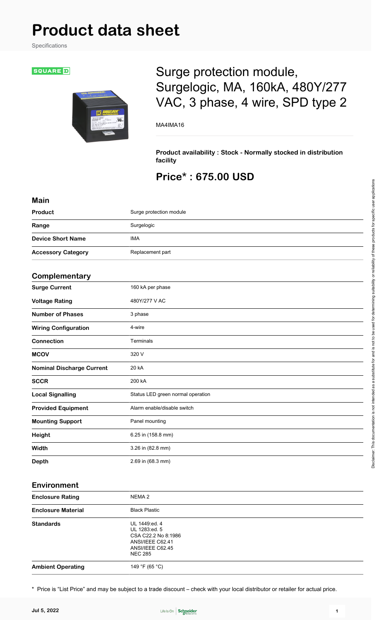# **Product data sheet**

Specifications

#### **SQUARE**D



## Surge protection module, Surgelogic, MA, 160kA, 480Y/277 VAC, 3 phase, 4 wire, SPD type 2

MA4IMA16

**Product availability : Stock - Normally stocked in distribution facility**

## **Price\* : 675.00 USD**

| <b>Main</b>                      |                                   |
|----------------------------------|-----------------------------------|
| Product                          | Surge protection module           |
| Range                            | Surgelogic                        |
| <b>Device Short Name</b>         | <b>IMA</b>                        |
| <b>Accessory Category</b>        | Replacement part                  |
| Complementary                    |                                   |
| <b>Surge Current</b>             | 160 kA per phase                  |
| <b>Voltage Rating</b>            | 480Y/277 V AC                     |
| <b>Number of Phases</b>          | 3 phase                           |
| <b>Wiring Configuration</b>      | 4-wire                            |
| <b>Connection</b>                | Terminals                         |
| <b>MCOV</b>                      | 320 V                             |
| <b>Nominal Discharge Current</b> | 20 kA                             |
| <b>SCCR</b>                      | 200 kA                            |
| <b>Local Signalling</b>          | Status LED green normal operation |
| <b>Provided Equipment</b>        | Alarm enable/disable switch       |
| <b>Mounting Support</b>          | Panel mounting                    |
| Height                           | 6.25 in (158.8 mm)                |
| Width                            | 3.26 in (82.8 mm)                 |
| <b>Depth</b>                     | 2.69 in (68.3 mm)                 |
|                                  |                                   |

#### **Environment**

| <b>Enclosure Rating</b>   | NEMA 2                                                                                                          |  |
|---------------------------|-----------------------------------------------------------------------------------------------------------------|--|
| <b>Enclosure Material</b> | <b>Black Plastic</b>                                                                                            |  |
| <b>Standards</b>          | UL 1449:ed. 4<br>UL 1283:ed. 5<br>CSA C22.2 No 8:1986<br>ANSI/IEEE C62.41<br>ANSI/IEEE C62.45<br><b>NEC 285</b> |  |
| <b>Ambient Operating</b>  | 149 °F (65 °C)                                                                                                  |  |

\* Price is "List Price" and may be subject to a trade discount – check with your local distributor or retailer for actual price.